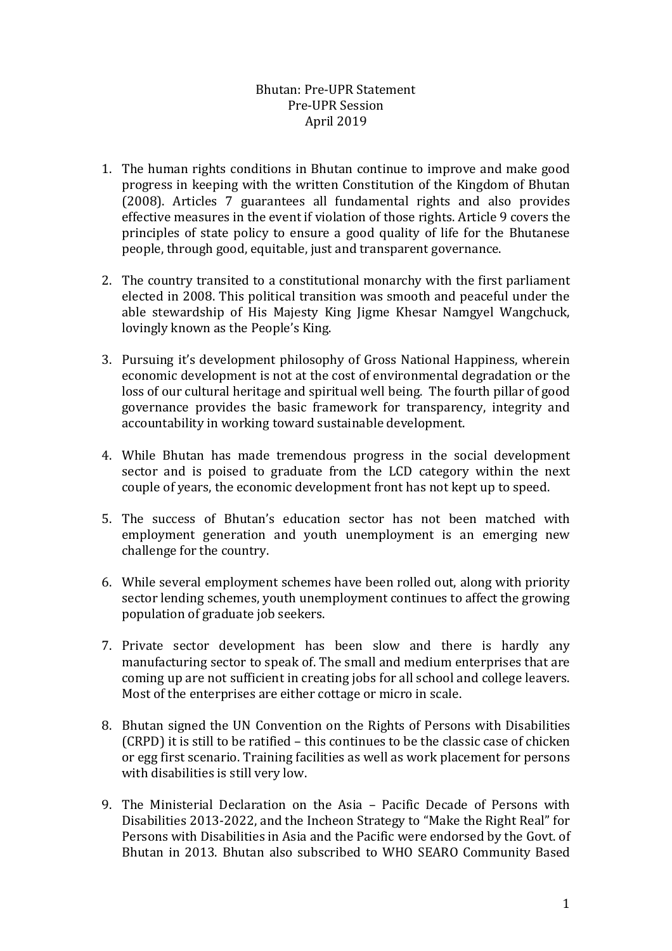## Bhutan: Pre-UPR Statement Pre-UPR Session April 2019

- 1. The human rights conditions in Bhutan continue to improve and make good progress in keeping with the written Constitution of the Kingdom of Bhutan (2008). Articles 7 guarantees all fundamental rights and also provides effective measures in the event if violation of those rights. Article 9 covers the principles of state policy to ensure a good quality of life for the Bhutanese people, through good, equitable, just and transparent governance.
- 2. The country transited to a constitutional monarchy with the first parliament elected in 2008. This political transition was smooth and peaceful under the able stewardship of His Majesty King Jigme Khesar Namgyel Wangchuck, lovingly known as the People's King.
- 3. Pursuing it's development philosophy of Gross National Happiness, wherein economic development is not at the cost of environmental degradation or the loss of our cultural heritage and spiritual well being. The fourth pillar of good governance provides the basic framework for transparency, integrity and accountability in working toward sustainable development.
- 4. While Bhutan has made tremendous progress in the social development sector and is poised to graduate from the LCD category within the next couple of years, the economic development front has not kept up to speed.
- 5. The success of Bhutan's education sector has not been matched with employment generation and youth unemployment is an emerging new challenge for the country.
- 6. While several employment schemes have been rolled out, along with priority sector lending schemes, youth unemployment continues to affect the growing population of graduate job seekers.
- 7. Private sector development has been slow and there is hardly any manufacturing sector to speak of. The small and medium enterprises that are coming up are not sufficient in creating jobs for all school and college leavers. Most of the enterprises are either cottage or micro in scale.
- 8. Bhutan signed the UN Convention on the Rights of Persons with Disabilities (CRPD) it is still to be ratified – this continues to be the classic case of chicken or egg first scenario. Training facilities as well as work placement for persons with disabilities is still very low.
- 9. The Ministerial Declaration on the Asia Pacific Decade of Persons with Disabilities 2013-2022, and the Incheon Strategy to "Make the Right Real" for Persons with Disabilities in Asia and the Pacific were endorsed by the Govt. of Bhutan in 2013. Bhutan also subscribed to WHO SEARO Community Based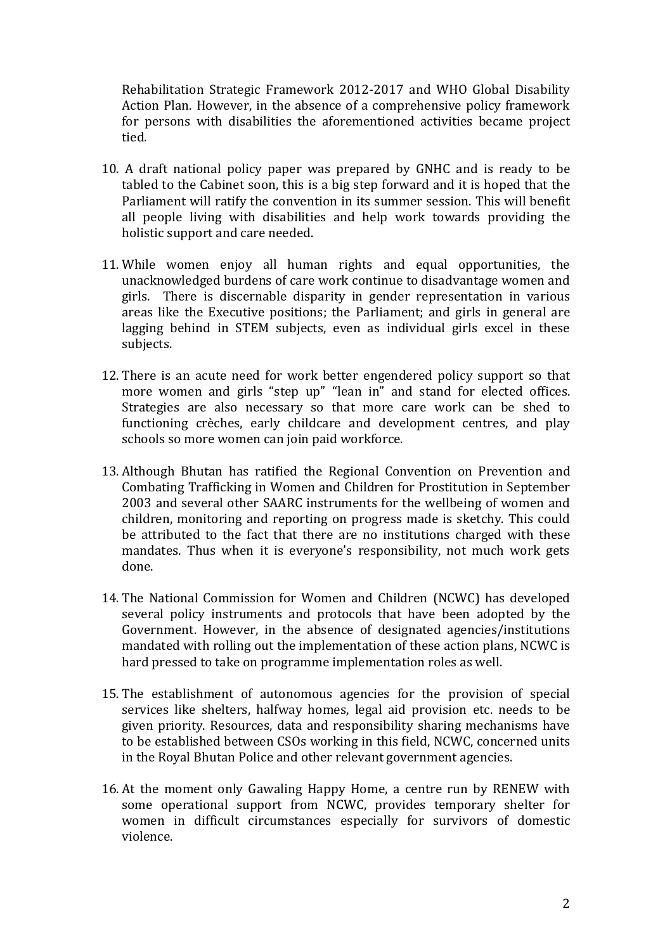Rehabilitation Strategic Framework 2012-2017 and WHO Global Disability Action Plan. However, in the absence of a comprehensive policy framework for persons with disabilities the aforementioned activities became project tied.

- 10. A draft national policy paper was prepared by GNHC and is ready to be tabled to the Cabinet soon, this is a big step forward and it is hoped that the Parliament will ratify the convention in its summer session. This will benefit all people living with disabilities and help work towards providing the holistic support and care needed.
- 11. While women enjoy all human rights and equal opportunities, the unacknowledged burdens of care work continue to disadvantage women and girls. There is discernable disparity in gender representation in various areas like the Executive positions; the Parliament; and girls in general are lagging behind in STEM subjects, even as individual girls excel in these subjects.
- 12. There is an acute need for work better engendered policy support so that more women and girls "step up" "lean in" and stand for elected offices. Strategies are also necessary so that more care work can be shed to functioning crèches, early childcare and development centres, and play schools so more women can join paid workforce.
- 13. Although Bhutan has ratified the Regional Convention on Prevention and Combating Trafficking in Women and Children for Prostitution in September 2003 and several other SAARC instruments for the wellbeing of women and children, monitoring and reporting on progress made is sketchy. This could be attributed to the fact that there are no institutions charged with these mandates. Thus when it is everyone's responsibility, not much work gets done.
- 14. The National Commission for Women and Children (NCWC) has developed several policy instruments and protocols that have been adopted by the Government. However, in the absence of designated agencies/institutions mandated with rolling out the implementation of these action plans, NCWC is hard pressed to take on programme implementation roles as well.
- 15. The establishment of autonomous agencies for the provision of special services like shelters, halfway homes, legal aid provision etc. needs to be given priority. Resources, data and responsibility sharing mechanisms have to be established between CSOs working in this field, NCWC, concerned units in the Royal Bhutan Police and other relevant government agencies.
- 16. At the moment only Gawaling Happy Home, a centre run by RENEW with some operational support from NCWC, provides temporary shelter for women in difficult circumstances especially for survivors of domestic violence.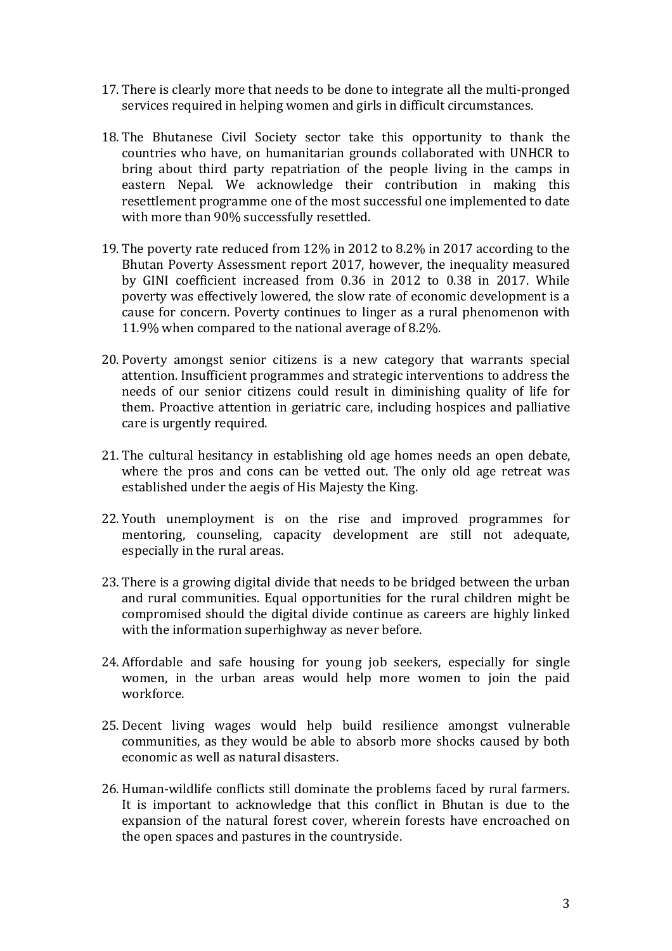- 17. There is clearly more that needs to be done to integrate all the multi-pronged services required in helping women and girls in difficult circumstances.
- 18. The Bhutanese Civil Society sector take this opportunity to thank the countries who have, on humanitarian grounds collaborated with UNHCR to bring about third party repatriation of the people living in the camps in eastern Nepal. We acknowledge their contribution in making this resettlement programme one of the most successful one implemented to date with more than 90% successfully resettled.
- 19. The poverty rate reduced from 12% in 2012 to 8.2% in 2017 according to the Bhutan Poverty Assessment report 2017, however, the inequality measured by GINI coefficient increased from 0.36 in 2012 to 0.38 in 2017. While poverty was effectively lowered, the slow rate of economic development is a cause for concern. Poverty continues to linger as a rural phenomenon with 11.9% when compared to the national average of 8.2%.
- 20. Poverty amongst senior citizens is a new category that warrants special attention. Insufficient programmes and strategic interventions to address the needs of our senior citizens could result in diminishing quality of life for them. Proactive attention in geriatric care, including hospices and palliative care is urgently required.
- 21. The cultural hesitancy in establishing old age homes needs an open debate, where the pros and cons can be vetted out. The only old age retreat was established under the aegis of His Majesty the King.
- 22. Youth unemployment is on the rise and improved programmes for mentoring, counseling, capacity development are still not adequate, especially in the rural areas.
- 23. There is a growing digital divide that needs to be bridged between the urban and rural communities. Equal opportunities for the rural children might be compromised should the digital divide continue as careers are highly linked with the information superhighway as never before.
- 24. Affordable and safe housing for young job seekers, especially for single women, in the urban areas would help more women to join the paid workforce.
- 25. Decent living wages would help build resilience amongst vulnerable communities, as they would be able to absorb more shocks caused by both economic as well as natural disasters.
- 26. Human-wildlife conflicts still dominate the problems faced by rural farmers. It is important to acknowledge that this conflict in Bhutan is due to the expansion of the natural forest cover, wherein forests have encroached on the open spaces and pastures in the countryside.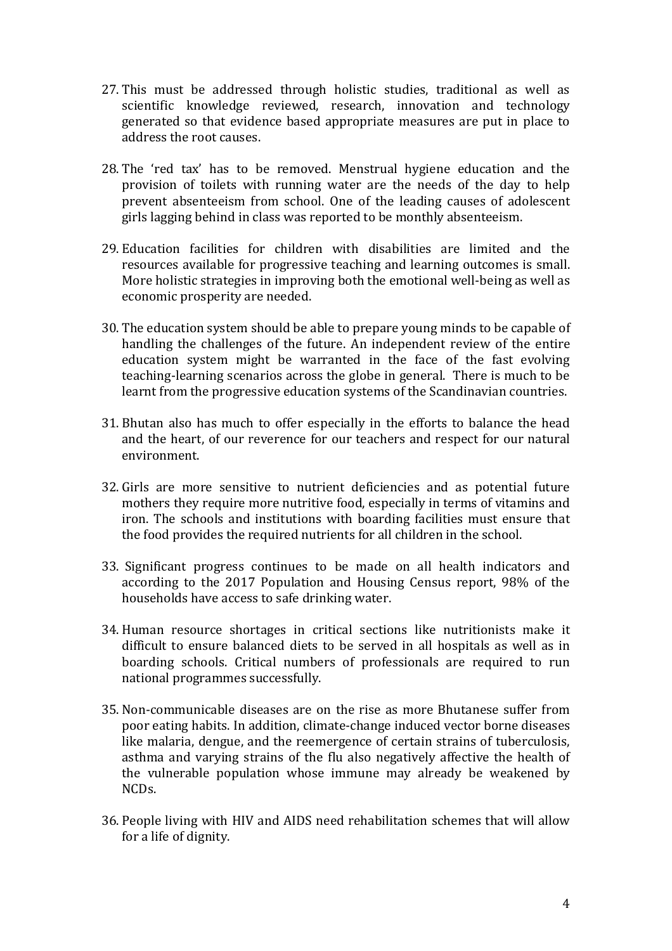- 27. This must be addressed through holistic studies, traditional as well as scientific knowledge reviewed, research, innovation and technology generated so that evidence based appropriate measures are put in place to address the root causes.
- 28. The 'red tax' has to be removed. Menstrual hygiene education and the provision of toilets with running water are the needs of the day to help prevent absenteeism from school. One of the leading causes of adolescent girls lagging behind in class was reported to be monthly absenteeism.
- 29. Education facilities for children with disabilities are limited and the resources available for progressive teaching and learning outcomes is small. More holistic strategies in improving both the emotional well-being as well as economic prosperity are needed.
- 30. The education system should be able to prepare young minds to be capable of handling the challenges of the future. An independent review of the entire education system might be warranted in the face of the fast evolving teaching-learning scenarios across the globe in general. There is much to be learnt from the progressive education systems of the Scandinavian countries.
- 31. Bhutan also has much to offer especially in the efforts to balance the head and the heart, of our reverence for our teachers and respect for our natural environment.
- 32. Girls are more sensitive to nutrient deficiencies and as potential future mothers they require more nutritive food, especially in terms of vitamins and iron. The schools and institutions with boarding facilities must ensure that the food provides the required nutrients for all children in the school.
- 33. Significant progress continues to be made on all health indicators and according to the 2017 Population and Housing Census report, 98% of the households have access to safe drinking water.
- 34. Human resource shortages in critical sections like nutritionists make it difficult to ensure balanced diets to be served in all hospitals as well as in boarding schools. Critical numbers of professionals are required to run national programmes successfully.
- 35. Non-communicable diseases are on the rise as more Bhutanese suffer from poor eating habits. In addition, climate-change induced vector borne diseases like malaria, dengue, and the reemergence of certain strains of tuberculosis, asthma and varying strains of the flu also negatively affective the health of the vulnerable population whose immune may already be weakened by NCDs.
- 36. People living with HIV and AIDS need rehabilitation schemes that will allow for a life of dignity.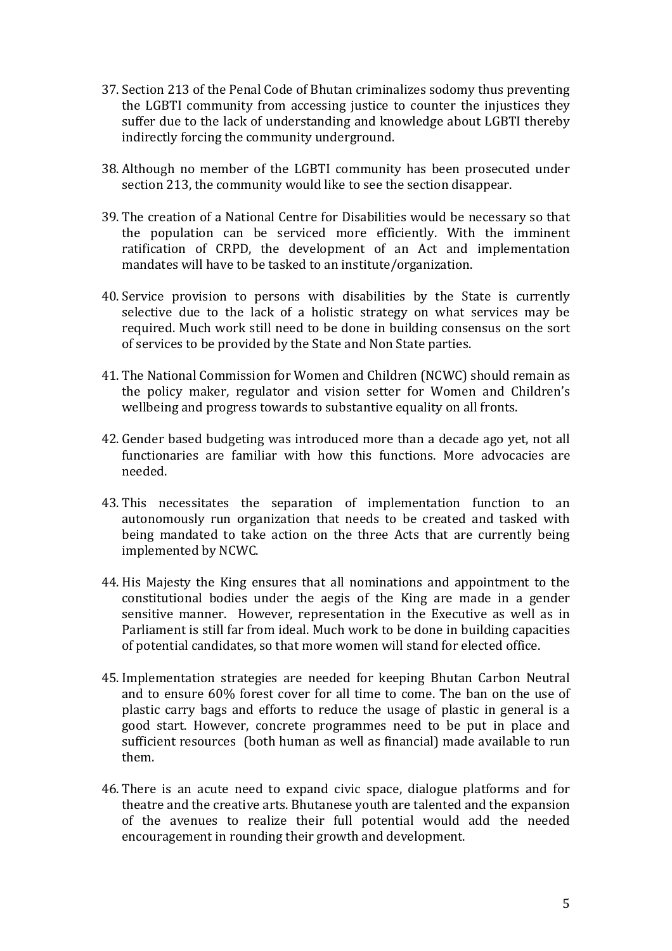- 37. Section 213 of the Penal Code of Bhutan criminalizes sodomy thus preventing the LGBTI community from accessing justice to counter the injustices they suffer due to the lack of understanding and knowledge about LGBTI thereby indirectly forcing the community underground.
- 38. Although no member of the LGBTI community has been prosecuted under section 213, the community would like to see the section disappear.
- 39. The creation of a National Centre for Disabilities would be necessary so that the population can be serviced more efficiently. With the imminent ratification of CRPD, the development of an Act and implementation mandates will have to be tasked to an institute/organization.
- 40. Service provision to persons with disabilities by the State is currently selective due to the lack of a holistic strategy on what services may be required. Much work still need to be done in building consensus on the sort of services to be provided by the State and Non State parties.
- 41. The National Commission for Women and Children (NCWC) should remain as the policy maker, regulator and vision setter for Women and Children's wellbeing and progress towards to substantive equality on all fronts.
- 42. Gender based budgeting was introduced more than a decade ago yet, not all functionaries are familiar with how this functions. More advocacies are needed.
- 43. This necessitates the separation of implementation function to an autonomously run organization that needs to be created and tasked with being mandated to take action on the three Acts that are currently being implemented by NCWC.
- 44. His Majesty the King ensures that all nominations and appointment to the constitutional bodies under the aegis of the King are made in a gender sensitive manner. However, representation in the Executive as well as in Parliament is still far from ideal. Much work to be done in building capacities of potential candidates, so that more women will stand for elected office.
- 45. Implementation strategies are needed for keeping Bhutan Carbon Neutral and to ensure 60% forest cover for all time to come. The ban on the use of plastic carry bags and efforts to reduce the usage of plastic in general is a good start. However, concrete programmes need to be put in place and sufficient resources (both human as well as financial) made available to run them.
- 46. There is an acute need to expand civic space, dialogue platforms and for theatre and the creative arts. Bhutanese youth are talented and the expansion of the avenues to realize their full potential would add the needed encouragement in rounding their growth and development.